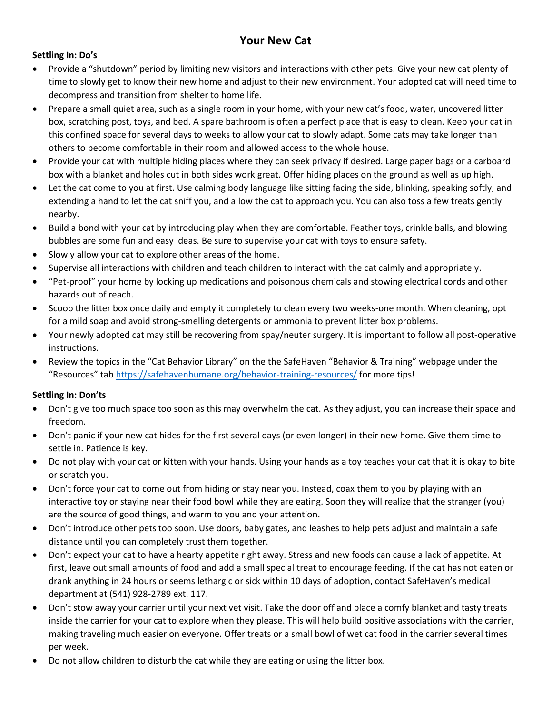# **Your New Cat**

#### **Settling In: Do's**

- Provide a "shutdown" period by limiting new visitors and interactions with other pets. Give your new cat plenty of time to slowly get to know their new home and adjust to their new environment. Your adopted cat will need time to decompress and transition from shelter to home life.
- Prepare a small quiet area, such as a single room in your home, with your new cat's food, water, uncovered litter box, scratching post, toys, and bed. A spare bathroom is often a perfect place that is easy to clean. Keep your cat in this confined space for several days to weeks to allow your cat to slowly adapt. Some cats may take longer than others to become comfortable in their room and allowed access to the whole house.
- Provide your cat with multiple hiding places where they can seek privacy if desired. Large paper bags or a carboard box with a blanket and holes cut in both sides work great. Offer hiding places on the ground as well as up high.
- Let the cat come to you at first. Use calming body language like sitting facing the side, blinking, speaking softly, and extending a hand to let the cat sniff you, and allow the cat to approach you. You can also toss a few treats gently nearby.
- Build a bond with your cat by introducing play when they are comfortable. Feather toys, crinkle balls, and blowing bubbles are some fun and easy ideas. Be sure to supervise your cat with toys to ensure safety.
- Slowly allow your cat to explore other areas of the home.
- Supervise all interactions with children and teach children to interact with the cat calmly and appropriately.
- "Pet-proof" your home by locking up medications and poisonous chemicals and stowing electrical cords and other hazards out of reach.
- Scoop the litter box once daily and empty it completely to clean every two weeks-one month. When cleaning, opt for a mild soap and avoid strong-smelling detergents or ammonia to prevent litter box problems.
- Your newly adopted cat may still be recovering from spay/neuter surgery. It is important to follow all post-operative instructions.
- Review the topics in the "Cat Behavior Library" on the the SafeHaven "Behavior & Training" webpage under the "Resources" tab <https://safehavenhumane.org/behavior-training-resources/> for more tips!

#### **Settling In: Don'ts**

- Don't give too much space too soon as this may overwhelm the cat. As they adjust, you can increase their space and freedom.
- Don't panic if your new cat hides for the first several days (or even longer) in their new home. Give them time to settle in. Patience is key.
- Do not play with your cat or kitten with your hands. Using your hands as a toy teaches your cat that it is okay to bite or scratch you.
- Don't force your cat to come out from hiding or stay near you. Instead, coax them to you by playing with an interactive toy or staying near their food bowl while they are eating. Soon they will realize that the stranger (you) are the source of good things, and warm to you and your attention.
- Don't introduce other pets too soon. Use doors, baby gates, and leashes to help pets adjust and maintain a safe distance until you can completely trust them together.
- Don't expect your cat to have a hearty appetite right away. Stress and new foods can cause a lack of appetite. At first, leave out small amounts of food and add a small special treat to encourage feeding. If the cat has not eaten or drank anything in 24 hours or seems lethargic or sick within 10 days of adoption, contact SafeHaven's medical department at (541) 928-2789 ext. 117.
- Don't stow away your carrier until your next vet visit. Take the door off and place a comfy blanket and tasty treats inside the carrier for your cat to explore when they please. This will help build positive associations with the carrier, making traveling much easier on everyone. Offer treats or a small bowl of wet cat food in the carrier several times per week.
- Do not allow children to disturb the cat while they are eating or using the litter box.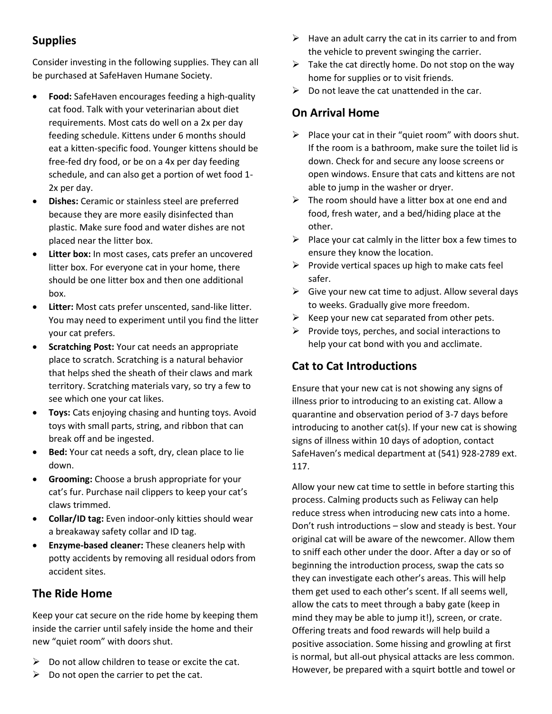# **Supplies**

Consider investing in the following supplies. They can all be purchased at SafeHaven Humane Society.

- **Food:** SafeHaven encourages feeding a high-quality cat food. Talk with your veterinarian about diet requirements. Most cats do well on a 2x per day feeding schedule. Kittens under 6 months should eat a kitten-specific food. Younger kittens should be free-fed dry food, or be on a 4x per day feeding schedule, and can also get a portion of wet food 1- 2x per day.
- **Dishes:** Ceramic or stainless steel are preferred because they are more easily disinfected than plastic. Make sure food and water dishes are not placed near the litter box.
- **Litter box:** In most cases, cats prefer an uncovered litter box. For everyone cat in your home, there should be one litter box and then one additional box.
- **Litter:** Most cats prefer unscented, sand-like litter. You may need to experiment until you find the litter your cat prefers.
- **Scratching Post:** Your cat needs an appropriate place to scratch. Scratching is a natural behavior that helps shed the sheath of their claws and mark territory. Scratching materials vary, so try a few to see which one your cat likes.
- **Toys:** Cats enjoying chasing and hunting toys. Avoid toys with small parts, string, and ribbon that can break off and be ingested.
- **Bed:** Your cat needs a soft, dry, clean place to lie down.
- **Grooming:** Choose a brush appropriate for your cat's fur. Purchase nail clippers to keep your cat's claws trimmed.
- **Collar/ID tag:** Even indoor-only kitties should wear a breakaway safety collar and ID tag.
- **Enzyme-based cleaner:** These cleaners help with potty accidents by removing all residual odors from accident sites.

## **The Ride Home**

Keep your cat secure on the ride home by keeping them inside the carrier until safely inside the home and their new "quiet room" with doors shut.

- $\triangleright$  Do not allow children to tease or excite the cat.
- $\triangleright$  Do not open the carrier to pet the cat.
- $\triangleright$  Have an adult carry the cat in its carrier to and from the vehicle to prevent swinging the carrier.
- $\triangleright$  Take the cat directly home. Do not stop on the way home for supplies or to visit friends.
- $\triangleright$  Do not leave the cat unattended in the car.

## **On Arrival Home**

- $\triangleright$  Place your cat in their "quiet room" with doors shut. If the room is a bathroom, make sure the toilet lid is down. Check for and secure any loose screens or open windows. Ensure that cats and kittens are not able to jump in the washer or dryer.
- $\triangleright$  The room should have a litter box at one end and food, fresh water, and a bed/hiding place at the other.
- $\triangleright$  Place your cat calmly in the litter box a few times to ensure they know the location.
- $\triangleright$  Provide vertical spaces up high to make cats feel safer.
- $\triangleright$  Give your new cat time to adjust. Allow several days to weeks. Gradually give more freedom.
- $\triangleright$  Keep your new cat separated from other pets.
- $\triangleright$  Provide toys, perches, and social interactions to help your cat bond with you and acclimate.

## **Cat to Cat Introductions**

Ensure that your new cat is not showing any signs of illness prior to introducing to an existing cat. Allow a quarantine and observation period of 3-7 days before introducing to another cat(s). If your new cat is showing signs of illness within 10 days of adoption, contact SafeHaven's medical department at (541) 928-2789 ext. 117.

Allow your new cat time to settle in before starting this process. Calming products such as Feliway can help reduce stress when introducing new cats into a home. Don't rush introductions – slow and steady is best. Your original cat will be aware of the newcomer. Allow them to sniff each other under the door. After a day or so of beginning the introduction process, swap the cats so they can investigate each other's areas. This will help them get used to each other's scent. If all seems well, allow the cats to meet through a baby gate (keep in mind they may be able to jump it!), screen, or crate. Offering treats and food rewards will help build a positive association. Some hissing and growling at first is normal, but all-out physical attacks are less common. However, be prepared with a squirt bottle and towel or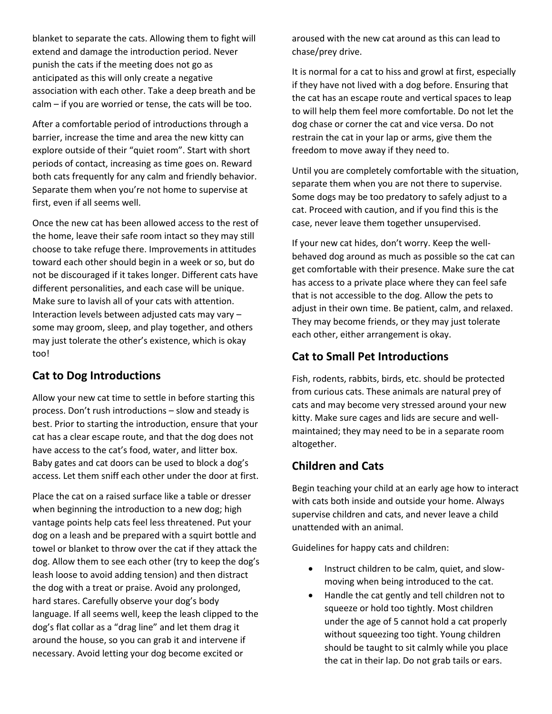blanket to separate the cats. Allowing them to fight will extend and damage the introduction period. Never punish the cats if the meeting does not go as anticipated as this will only create a negative association with each other. Take a deep breath and be calm – if you are worried or tense, the cats will be too.

After a comfortable period of introductions through a barrier, increase the time and area the new kitty can explore outside of their "quiet room". Start with short periods of contact, increasing as time goes on. Reward both cats frequently for any calm and friendly behavior. Separate them when you're not home to supervise at first, even if all seems well.

Once the new cat has been allowed access to the rest of the home, leave their safe room intact so they may still choose to take refuge there. Improvements in attitudes toward each other should begin in a week or so, but do not be discouraged if it takes longer. Different cats have different personalities, and each case will be unique. Make sure to lavish all of your cats with attention. Interaction levels between adjusted cats may vary – some may groom, sleep, and play together, and others may just tolerate the other's existence, which is okay too!

### **Cat to Dog Introductions**

Allow your new cat time to settle in before starting this process. Don't rush introductions – slow and steady is best. Prior to starting the introduction, ensure that your cat has a clear escape route, and that the dog does not have access to the cat's food, water, and litter box. Baby gates and cat doors can be used to block a dog's access. Let them sniff each other under the door at first.

Place the cat on a raised surface like a table or dresser when beginning the introduction to a new dog; high vantage points help cats feel less threatened. Put your dog on a leash and be prepared with a squirt bottle and towel or blanket to throw over the cat if they attack the dog. Allow them to see each other (try to keep the dog's leash loose to avoid adding tension) and then distract the dog with a treat or praise. Avoid any prolonged, hard stares. Carefully observe your dog's body language. If all seems well, keep the leash clipped to the dog's flat collar as a "drag line" and let them drag it around the house, so you can grab it and intervene if necessary. Avoid letting your dog become excited or

aroused with the new cat around as this can lead to chase/prey drive.

It is normal for a cat to hiss and growl at first, especially if they have not lived with a dog before. Ensuring that the cat has an escape route and vertical spaces to leap to will help them feel more comfortable. Do not let the dog chase or corner the cat and vice versa. Do not restrain the cat in your lap or arms, give them the freedom to move away if they need to.

Until you are completely comfortable with the situation, separate them when you are not there to supervise. Some dogs may be too predatory to safely adjust to a cat. Proceed with caution, and if you find this is the case, never leave them together unsupervised.

If your new cat hides, don't worry. Keep the wellbehaved dog around as much as possible so the cat can get comfortable with their presence. Make sure the cat has access to a private place where they can feel safe that is not accessible to the dog. Allow the pets to adjust in their own time. Be patient, calm, and relaxed. They may become friends, or they may just tolerate each other, either arrangement is okay.

## **Cat to Small Pet Introductions**

Fish, rodents, rabbits, birds, etc. should be protected from curious cats. These animals are natural prey of cats and may become very stressed around your new kitty. Make sure cages and lids are secure and wellmaintained; they may need to be in a separate room altogether.

## **Children and Cats**

Begin teaching your child at an early age how to interact with cats both inside and outside your home. Always supervise children and cats, and never leave a child unattended with an animal.

Guidelines for happy cats and children:

- Instruct children to be calm, quiet, and slowmoving when being introduced to the cat.
- Handle the cat gently and tell children not to squeeze or hold too tightly. Most children under the age of 5 cannot hold a cat properly without squeezing too tight. Young children should be taught to sit calmly while you place the cat in their lap. Do not grab tails or ears.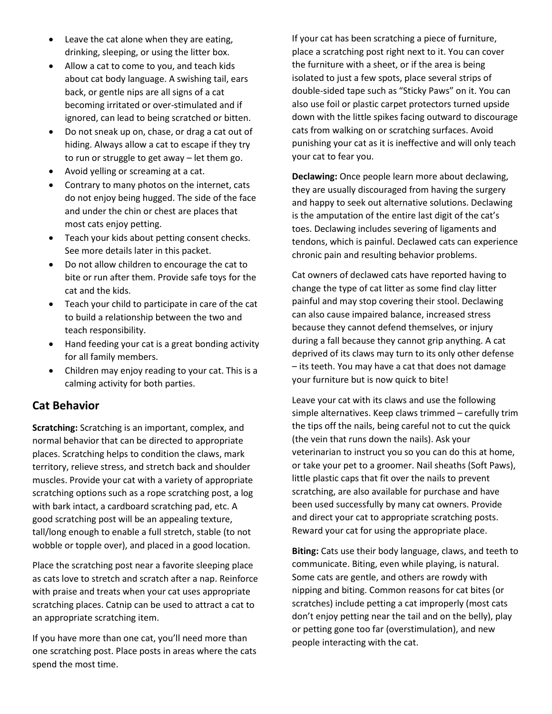- Leave the cat alone when they are eating, drinking, sleeping, or using the litter box.
- Allow a cat to come to you, and teach kids about cat body language. A swishing tail, ears back, or gentle nips are all signs of a cat becoming irritated or over-stimulated and if ignored, can lead to being scratched or bitten.
- Do not sneak up on, chase, or drag a cat out of hiding. Always allow a cat to escape if they try to run or struggle to get away – let them go.
- Avoid yelling or screaming at a cat.
- Contrary to many photos on the internet, cats do not enjoy being hugged. The side of the face and under the chin or chest are places that most cats enjoy petting.
- Teach your kids about petting consent checks. See more details later in this packet.
- Do not allow children to encourage the cat to bite or run after them. Provide safe toys for the cat and the kids.
- Teach your child to participate in care of the cat to build a relationship between the two and teach responsibility.
- Hand feeding your cat is a great bonding activity for all family members.
- Children may enjoy reading to your cat. This is a calming activity for both parties.

## **Cat Behavior**

**Scratching:** Scratching is an important, complex, and normal behavior that can be directed to appropriate places. Scratching helps to condition the claws, mark territory, relieve stress, and stretch back and shoulder muscles. Provide your cat with a variety of appropriate scratching options such as a rope scratching post, a log with bark intact, a cardboard scratching pad, etc. A good scratching post will be an appealing texture, tall/long enough to enable a full stretch, stable (to not wobble or topple over), and placed in a good location.

Place the scratching post near a favorite sleeping place as cats love to stretch and scratch after a nap. Reinforce with praise and treats when your cat uses appropriate scratching places. Catnip can be used to attract a cat to an appropriate scratching item.

If you have more than one cat, you'll need more than one scratching post. Place posts in areas where the cats spend the most time.

If your cat has been scratching a piece of furniture, place a scratching post right next to it. You can cover the furniture with a sheet, or if the area is being isolated to just a few spots, place several strips of double-sided tape such as "Sticky Paws" on it. You can also use foil or plastic carpet protectors turned upside down with the little spikes facing outward to discourage cats from walking on or scratching surfaces. Avoid punishing your cat as it is ineffective and will only teach your cat to fear you.

**Declawing:** Once people learn more about declawing, they are usually discouraged from having the surgery and happy to seek out alternative solutions. Declawing is the amputation of the entire last digit of the cat's toes. Declawing includes severing of ligaments and tendons, which is painful. Declawed cats can experience chronic pain and resulting behavior problems.

Cat owners of declawed cats have reported having to change the type of cat litter as some find clay litter painful and may stop covering their stool. Declawing can also cause impaired balance, increased stress because they cannot defend themselves, or injury during a fall because they cannot grip anything. A cat deprived of its claws may turn to its only other defense – its teeth. You may have a cat that does not damage your furniture but is now quick to bite!

Leave your cat with its claws and use the following simple alternatives. Keep claws trimmed – carefully trim the tips off the nails, being careful not to cut the quick (the vein that runs down the nails). Ask your veterinarian to instruct you so you can do this at home, or take your pet to a groomer. Nail sheaths (Soft Paws), little plastic caps that fit over the nails to prevent scratching, are also available for purchase and have been used successfully by many cat owners. Provide and direct your cat to appropriate scratching posts. Reward your cat for using the appropriate place.

**Biting:** Cats use their body language, claws, and teeth to communicate. Biting, even while playing, is natural. Some cats are gentle, and others are rowdy with nipping and biting. Common reasons for cat bites (or scratches) include petting a cat improperly (most cats don't enjoy petting near the tail and on the belly), play or petting gone too far (overstimulation), and new people interacting with the cat.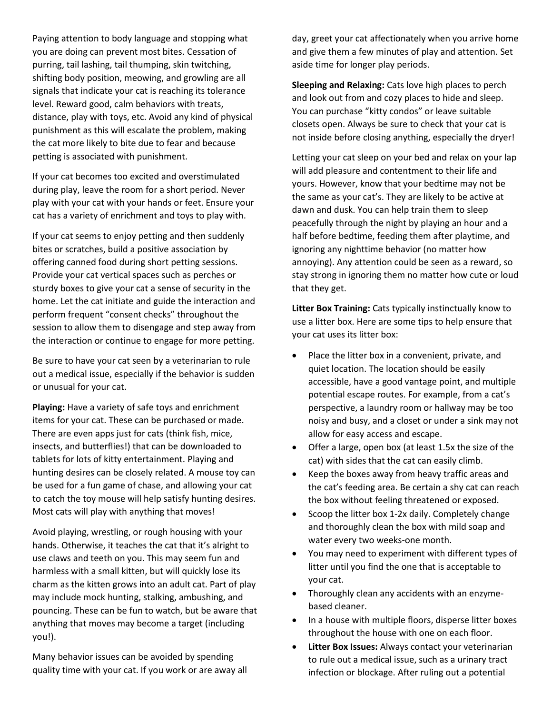Paying attention to body language and stopping what you are doing can prevent most bites. Cessation of purring, tail lashing, tail thumping, skin twitching, shifting body position, meowing, and growling are all signals that indicate your cat is reaching its tolerance level. Reward good, calm behaviors with treats, distance, play with toys, etc. Avoid any kind of physical punishment as this will escalate the problem, making the cat more likely to bite due to fear and because petting is associated with punishment.

If your cat becomes too excited and overstimulated during play, leave the room for a short period. Never play with your cat with your hands or feet. Ensure your cat has a variety of enrichment and toys to play with.

If your cat seems to enjoy petting and then suddenly bites or scratches, build a positive association by offering canned food during short petting sessions. Provide your cat vertical spaces such as perches or sturdy boxes to give your cat a sense of security in the home. Let the cat initiate and guide the interaction and perform frequent "consent checks" throughout the session to allow them to disengage and step away from the interaction or continue to engage for more petting.

Be sure to have your cat seen by a veterinarian to rule out a medical issue, especially if the behavior is sudden or unusual for your cat.

**Playing:** Have a variety of safe toys and enrichment items for your cat. These can be purchased or made. There are even apps just for cats (think fish, mice, insects, and butterflies!) that can be downloaded to tablets for lots of kitty entertainment. Playing and hunting desires can be closely related. A mouse toy can be used for a fun game of chase, and allowing your cat to catch the toy mouse will help satisfy hunting desires. Most cats will play with anything that moves!

Avoid playing, wrestling, or rough housing with your hands. Otherwise, it teaches the cat that it's alright to use claws and teeth on you. This may seem fun and harmless with a small kitten, but will quickly lose its charm as the kitten grows into an adult cat. Part of play may include mock hunting, stalking, ambushing, and pouncing. These can be fun to watch, but be aware that anything that moves may become a target (including you!).

Many behavior issues can be avoided by spending quality time with your cat. If you work or are away all day, greet your cat affectionately when you arrive home and give them a few minutes of play and attention. Set aside time for longer play periods.

**Sleeping and Relaxing:** Cats love high places to perch and look out from and cozy places to hide and sleep. You can purchase "kitty condos" or leave suitable closets open. Always be sure to check that your cat is not inside before closing anything, especially the dryer!

Letting your cat sleep on your bed and relax on your lap will add pleasure and contentment to their life and yours. However, know that your bedtime may not be the same as your cat's. They are likely to be active at dawn and dusk. You can help train them to sleep peacefully through the night by playing an hour and a half before bedtime, feeding them after playtime, and ignoring any nighttime behavior (no matter how annoying). Any attention could be seen as a reward, so stay strong in ignoring them no matter how cute or loud that they get.

**Litter Box Training:** Cats typically instinctually know to use a litter box. Here are some tips to help ensure that your cat uses its litter box:

- Place the litter box in a convenient, private, and quiet location. The location should be easily accessible, have a good vantage point, and multiple potential escape routes. For example, from a cat's perspective, a laundry room or hallway may be too noisy and busy, and a closet or under a sink may not allow for easy access and escape.
- Offer a large, open box (at least 1.5x the size of the cat) with sides that the cat can easily climb.
- Keep the boxes away from heavy traffic areas and the cat's feeding area. Be certain a shy cat can reach the box without feeling threatened or exposed.
- Scoop the litter box 1-2x daily. Completely change and thoroughly clean the box with mild soap and water every two weeks-one month.
- You may need to experiment with different types of litter until you find the one that is acceptable to your cat.
- Thoroughly clean any accidents with an enzymebased cleaner.
- In a house with multiple floors, disperse litter boxes throughout the house with one on each floor.
- **Litter Box Issues:** Always contact your veterinarian to rule out a medical issue, such as a urinary tract infection or blockage. After ruling out a potential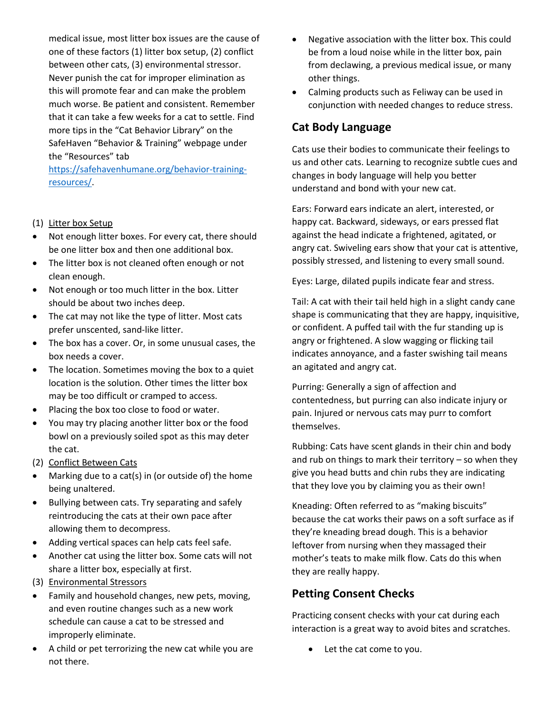medical issue, most litter box issues are the cause of one of these factors (1) litter box setup, (2) conflict between other cats, (3) environmental stressor. Never punish the cat for improper elimination as this will promote fear and can make the problem much worse. Be patient and consistent. Remember that it can take a few weeks for a cat to settle. Find more tips in the "Cat Behavior Library" on the SafeHaven "Behavior & Training" webpage under the "Resources" tab

[https://safehavenhumane.org/behavior-training](https://safehavenhumane.org/behavior-training-resources/)[resources/.](https://safehavenhumane.org/behavior-training-resources/)

#### (1) Litter box Setup

- Not enough litter boxes. For every cat, there should be one litter box and then one additional box.
- The litter box is not cleaned often enough or not clean enough.
- Not enough or too much litter in the box. Litter should be about two inches deep.
- The cat may not like the type of litter. Most cats prefer unscented, sand-like litter.
- The box has a cover. Or, in some unusual cases, the box needs a cover.
- The location. Sometimes moving the box to a quiet location is the solution. Other times the litter box may be too difficult or cramped to access.
- Placing the box too close to food or water.
- You may try placing another litter box or the food bowl on a previously soiled spot as this may deter the cat.
- (2) Conflict Between Cats
- Marking due to a cat(s) in (or outside of) the home being unaltered.
- Bullying between cats. Try separating and safely reintroducing the cats at their own pace after allowing them to decompress.
- Adding vertical spaces can help cats feel safe.
- Another cat using the litter box. Some cats will not share a litter box, especially at first.
- (3) Environmental Stressors
- Family and household changes, new pets, moving, and even routine changes such as a new work schedule can cause a cat to be stressed and improperly eliminate.
- A child or pet terrorizing the new cat while you are not there.
- Negative association with the litter box. This could be from a loud noise while in the litter box, pain from declawing, a previous medical issue, or many other things.
- Calming products such as Feliway can be used in conjunction with needed changes to reduce stress.

#### **Cat Body Language**

Cats use their bodies to communicate their feelings to us and other cats. Learning to recognize subtle cues and changes in body language will help you better understand and bond with your new cat.

Ears: Forward ears indicate an alert, interested, or happy cat. Backward, sideways, or ears pressed flat against the head indicate a frightened, agitated, or angry cat. Swiveling ears show that your cat is attentive, possibly stressed, and listening to every small sound.

Eyes: Large, dilated pupils indicate fear and stress.

Tail: A cat with their tail held high in a slight candy cane shape is communicating that they are happy, inquisitive, or confident. A puffed tail with the fur standing up is angry or frightened. A slow wagging or flicking tail indicates annoyance, and a faster swishing tail means an agitated and angry cat.

Purring: Generally a sign of affection and contentedness, but purring can also indicate injury or pain. Injured or nervous cats may purr to comfort themselves.

Rubbing: Cats have scent glands in their chin and body and rub on things to mark their territory – so when they give you head butts and chin rubs they are indicating that they love you by claiming you as their own!

Kneading: Often referred to as "making biscuits" because the cat works their paws on a soft surface as if they're kneading bread dough. This is a behavior leftover from nursing when they massaged their mother's teats to make milk flow. Cats do this when they are really happy.

### **Petting Consent Checks**

Practicing consent checks with your cat during each interaction is a great way to avoid bites and scratches.

Let the cat come to you.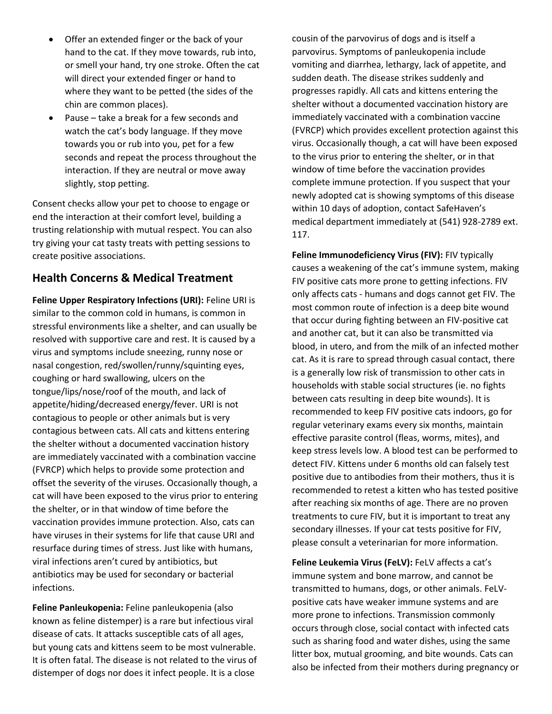- Offer an extended finger or the back of your hand to the cat. If they move towards, rub into, or smell your hand, try one stroke. Often the cat will direct your extended finger or hand to where they want to be petted (the sides of the chin are common places).
- Pause take a break for a few seconds and watch the cat's body language. If they move towards you or rub into you, pet for a few seconds and repeat the process throughout the interaction. If they are neutral or move away slightly, stop petting.

Consent checks allow your pet to choose to engage or end the interaction at their comfort level, building a trusting relationship with mutual respect. You can also try giving your cat tasty treats with petting sessions to create positive associations.

#### **Health Concerns & Medical Treatment**

**Feline Upper Respiratory Infections (URI):** Feline URI is similar to the common cold in humans, is common in stressful environments like a shelter, and can usually be resolved with supportive care and rest. It is caused by a virus and symptoms include sneezing, runny nose or nasal congestion, red/swollen/runny/squinting eyes, coughing or hard swallowing, ulcers on the tongue/lips/nose/roof of the mouth, and lack of appetite/hiding/decreased energy/fever. URI is not contagious to people or other animals but is very contagious between cats. All cats and kittens entering the shelter without a documented vaccination history are immediately vaccinated with a combination vaccine (FVRCP) which helps to provide some protection and offset the severity of the viruses. Occasionally though, a cat will have been exposed to the virus prior to entering the shelter, or in that window of time before the vaccination provides immune protection. Also, cats can have viruses in their systems for life that cause URI and resurface during times of stress. Just like with humans, viral infections aren't cured by antibiotics, but antibiotics may be used for secondary or bacterial infections.

**Feline Panleukopenia:** Feline panleukopenia (also known as feline distemper) is a rare but infectious viral disease of cats. It attacks susceptible cats of all ages, but young cats and kittens seem to be most vulnerable. It is often fatal. The disease is not related to the virus of distemper of dogs nor does it infect people. It is a close

cousin of the parvovirus of dogs and is itself a parvovirus. Symptoms of panleukopenia include vomiting and diarrhea, lethargy, lack of appetite, and sudden death. The disease strikes suddenly and progresses rapidly. All cats and kittens entering the shelter without a documented vaccination history are immediately vaccinated with a combination vaccine (FVRCP) which provides excellent protection against this virus. Occasionally though, a cat will have been exposed to the virus prior to entering the shelter, or in that window of time before the vaccination provides complete immune protection. If you suspect that your newly adopted cat is showing symptoms of this disease within 10 days of adoption, contact SafeHaven's medical department immediately at (541) 928-2789 ext. 117.

**Feline Immunodeficiency Virus (FIV):** FIV typically causes a weakening of the cat's immune system, making FIV positive cats more prone to getting infections. FIV only affects cats - humans and dogs cannot get FIV. The most common route of infection is a deep bite wound that occur during fighting between an FIV-positive cat and another cat, but it can also be transmitted via blood, in utero, and from the milk of an infected mother cat. As it is rare to spread through casual contact, there is a generally low risk of transmission to other cats in households with stable social structures (ie. no fights between cats resulting in deep bite wounds). It is recommended to keep FIV positive cats indoors, go for regular veterinary exams every six months, maintain effective parasite control (fleas, worms, mites), and keep stress levels low. A blood test can be performed to detect FIV. Kittens under 6 months old can falsely test positive due to antibodies from their mothers, thus it is recommended to retest a kitten who has tested positive after reaching six months of age. There are no proven treatments to cure FIV, but it is important to treat any secondary illnesses. If your cat tests positive for FIV, please consult a veterinarian for more information.

**Feline Leukemia Virus (FeLV):** FeLV affects a cat's immune system and bone marrow, and cannot be transmitted to humans, dogs, or other animals. FeLVpositive cats have weaker immune systems and are more prone to infections. Transmission commonly occurs through close, social contact with infected cats such as sharing food and water dishes, using the same litter box, mutual grooming, and bite wounds. Cats can also be infected from their mothers during pregnancy or